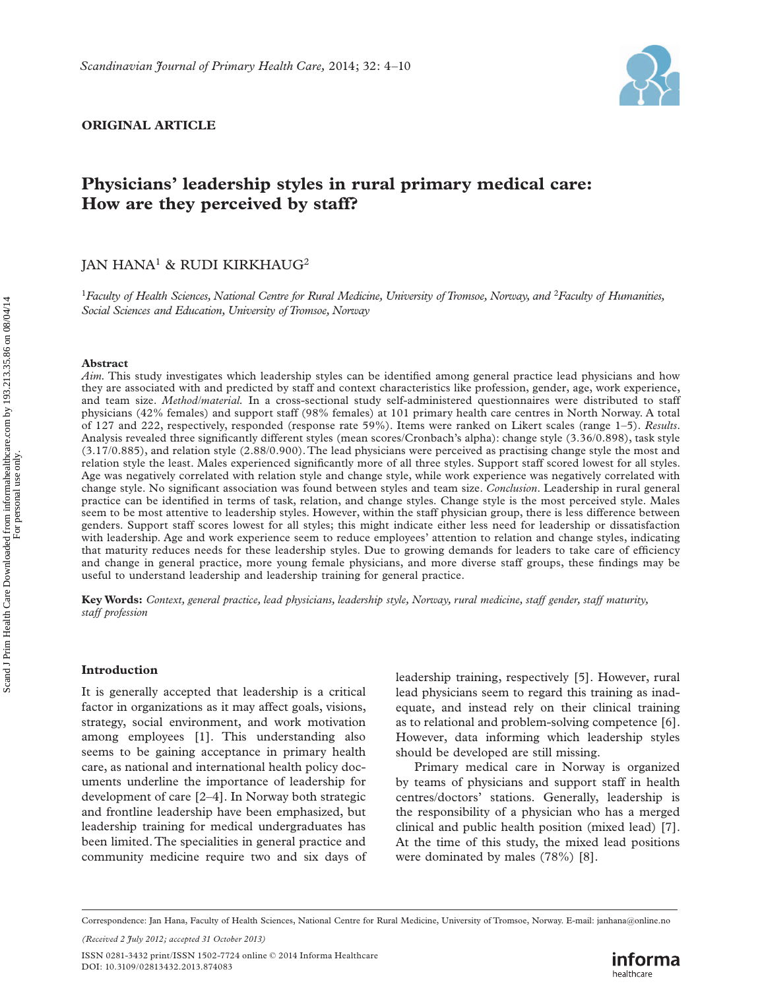

## **ORIGINAL ARTICLE**

# **Physicians 'leadership styles in rural primary medical care: How are they perceived by staff?**

## JAN HANA<sup>1</sup> & RUDI KIRKHAUG<sup>2</sup>

<sup>1</sup>*Faculty of Health Sciences, National Centre for Rural Medicine, University of Tromsoe, Norway,and* <sup>2</sup>*Faculty of Humanities, Social Sciences and Education, University of Tromsoe, Norway* 

## **Abstract**

 $Aim$ . This study investigates which leadership styles can be identified among general practice lead physicians and how they are associated with and predicted by staff and context characteristics like profession, gender, age, work experience, and team size. *Method/material.* In a cross-sectional study self-administered questionnaires were distributed to staff physicians (42% females) and support staff (98% females) at 101 primary health care centres in North Norway. A total of 127 and 222, respectively, responded (response rate 59%). Items were ranked on Likert scales (range 1–5). *Results*. Analysis revealed three significantly different styles (mean scores/Cronbach's alpha): change style (3.36/0.898), task style (3.17/0.885), and relation style (2.88/0.900). The lead physicians were perceived as practising change style the most and relation style the least. Males experienced significantly more of all three styles. Support staff scored lowest for all styles. Age was negatively correlated with relation style and change style, while work experience was negatively correlated with change style. No significant association was found between styles and team size. *Conclusion*. Leadership in rural general practice can be identified in terms of task, relation, and change styles. Change style is the most perceived style. Males seem to be most attentive to leadership styles. However, within the staff physician group, there is less difference between genders. Support staff scores lowest for all styles; this might indicate either less need for leadership or dissatisfaction with leadership. Age and work experience seem to reduce employees' attention to relation and change styles, indicating that maturity reduces needs for these leadership styles. Due to growing demands for leaders to take care of efficiency and change in general practice, more young female physicians, and more diverse staff groups, these findings may be useful to understand leadership and leadership training for general practice.

**Key Words:** *Context, general practice, lead physicians, leadership style, Norway, rural medicine, staff gender, staff maturity, staff profession* 

## **Introduction**

It is generally accepted that leadership is a critical factor in organizations as it may affect goals, visions, strategy, social environment, and work motivation among employees [1]. This understanding also seems to be gaining acceptance in primary health care, as national and international health policy documents underline the importance of leadership for development of care  $[2-4]$ . In Norway both strategic and frontline leadership have been emphasized, but leadership training for medical undergraduates has been limited. The specialities in general practice and community medicine require two and six days of leadership training, respectively [5]. However, rural lead physicians seem to regard this training as inadequate, and instead rely on their clinical training as to relational and problem-solving competence [6]. However, data informing which leadership styles should be developed are still missing.

Primary medical care in Norway is organized by teams of physicians and support staff in health centres/doctors' stations. Generally, leadership is the responsibility of a physician who has a merged clinical and public health position (mixed lead) [7]. At the time of this study, the mixed lead positions were dominated by males (78%) [8].

ISSN 0281-3432 print/ISSN 1502-7724 online © 2014 Informa Healthcare DOI: 10.3109/02813432.2013.874083 *(Received 2 July 2012 ; accepted 31 October 2013 )* 



Correspondence: Jan Hana, Faculty of Health Sciences, National Centre for Rural Medicine, University of Tromsoe, Norway. E-mail: janhana@online.no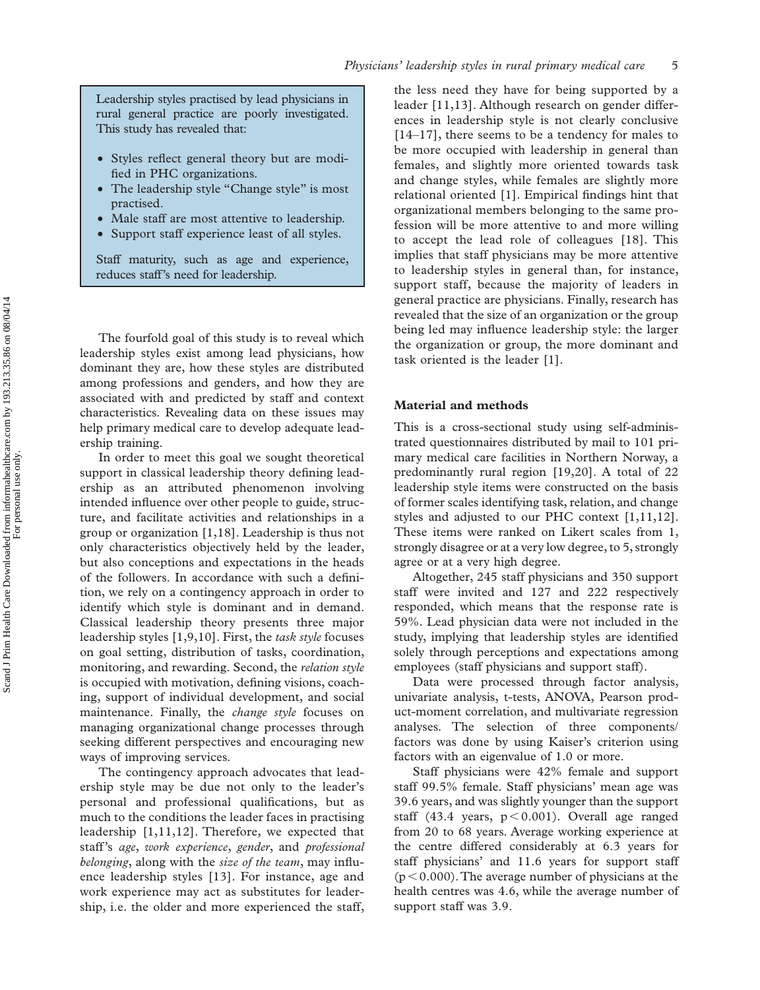Leadership styles practised by lead physicians in rural general practice are poorly investigated. This study has revealed that:

- Styles reflect general theory but are modified in PHC organizations.
- The leadership style "Change style" is most practised.
- Male staff are most attentive to leadership.
- Support staff experience least of all styles.

Staff maturity, such as age and experience, reduces staff's need for leadership.

The fourfold goal of this study is to reveal which leadership styles exist among lead physicians, how dominant they are, how these styles are distributed among professions and genders, and how they are associated with and predicted by staff and context characteristics. Revealing data on these issues may help primary medical care to develop adequate leadership training.

In order to meet this goal we sought theoretical support in classical leadership theory defining leadership as an attributed phenomenon involving intended influence over other people to guide, structure, and facilitate activities and relationships in a group or organization [1,18]. Leadership is thus not only characteristics objectively held by the leader, but also conceptions and expectations in the heads of the followers. In accordance with such a definition, we rely on a contingency approach in order to identify which style is dominant and in demand. Classical leadership theory presents three major leadership styles [1,9,10]. First, the *task style* focuses on goal setting, distribution of tasks, coordination, monitoring, and rewarding. Second, the *relation style* is occupied with motivation, defining visions, coaching, support of individual development, and social maintenance. Finally, the *change style* focuses on managing organizational change processes through seeking different perspectives and encouraging new ways of improving services.

The contingency approach advocates that leadership style may be due not only to the leader's personal and professional qualifications, but as much to the conditions the leader faces in practising leadership [1,11,12]. Therefore, we expected that staff's *age*, *work experience*, *gender*, and *professional belonging*, along with the *size of the team*, may influence leadership styles [13]. For instance, age and work experience may act as substitutes for leadership, i.e. the older and more experienced the staff,

the less need they have for being supported by a leader [11,13]. Although research on gender differences in leadership style is not clearly conclusive  $[14-17]$ , there seems to be a tendency for males to be more occupied with leadership in general than females, and slightly more oriented towards task and change styles, while females are slightly more relational oriented [1]. Empirical findings hint that organizational members belonging to the same profession will be more attentive to and more willing to accept the lead role of colleagues [18]. This implies that staff physicians may be more attentive to leadership styles in general than, for instance, support staff, because the majority of leaders in general practice are physicians. Finally, research has revealed that the size of an organization or the group being led may influence leadership style: the larger the organization or group, the more dominant and task oriented is the leader [1].

## **Material and methods**

This is a cross-sectional study using self-administrated questionnaires distributed by mail to 101 primary medical care facilities in Northern Norway, a predominantly rural region [19,20]. A total of 22 leadership style items were constructed on the basis of former scales identifying task, relation, and change styles and adjusted to our PHC context [1,11,12]. These items were ranked on Likert scales from 1, strongly disagree or at a very low degree, to 5, strongly agree or at a very high degree.

Altogether, 245 staff physicians and 350 support staff were invited and 127 and 222 respectively responded, which means that the response rate is 59%. Lead physician data were not included in the study, implying that leadership styles are identified solely through perceptions and expectations among employees (staff physicians and support staff).

Data were processed through factor analysis, univariate analysis, t-tests, ANOVA, Pearson product-moment correlation, and multivariate regression analyses. The selection of three components/ factors was done by using Kaiser's criterion using factors with an eigenvalue of 1.0 or more.

Staff physicians were 42% female and support staff 99.5% female. Staff physicians' mean age was 39.6 years, and was slightly younger than the support staff (43.4 years,  $p < 0.001$ ). Overall age ranged from 20 to 68 years. Average working experience at the centre differed considerably at 6.3 years for staff physicians' and 11.6 years for support staff  $(p < 0.000)$ . The average number of physicians at the health centres was 4.6, while the average number of support staff was 3.9.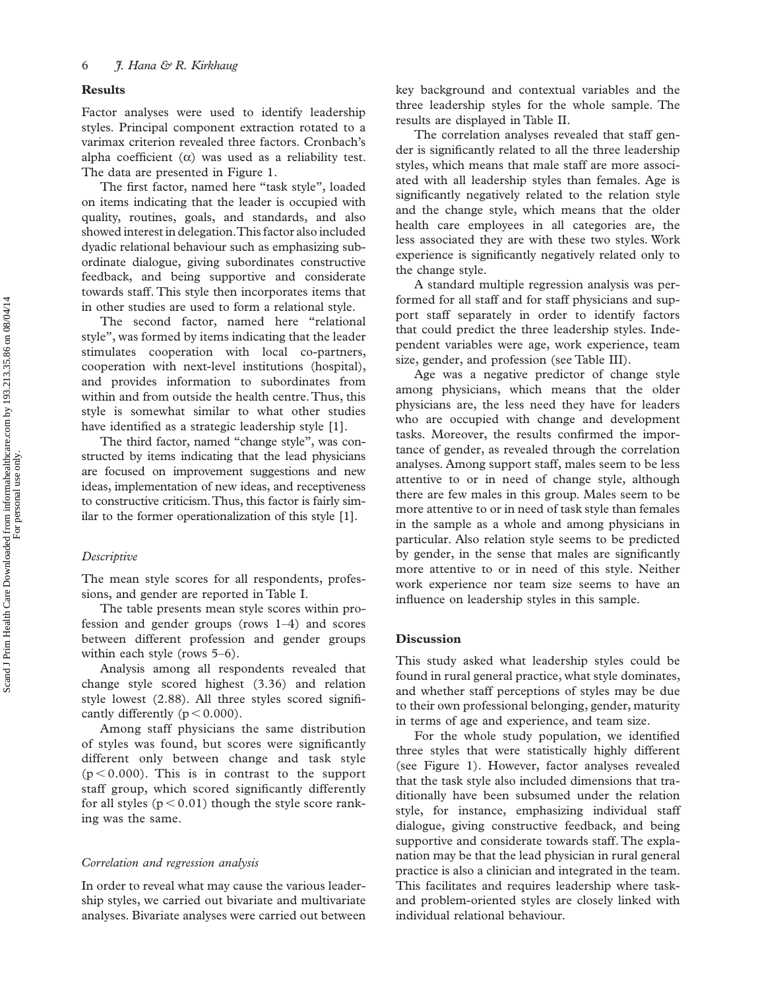#### **Results**

Factor analyses were used to identify leadership styles. Principal component extraction rotated to a varimax criterion revealed three factors. Cronbach's alpha coefficient  $( \alpha )$  was used as a reliability test. The data are presented in Figure 1.

The first factor, named here "task style", loaded on items indicating that the leader is occupied with quality, routines, goals, and standards, and also showed interest in delegation. This factor also included dyadic relational behaviour such as emphasizing subordinate dialogue, giving subordinates constructive feedback, and being supportive and considerate towards staff. This style then incorporates items that in other studies are used to form a relational style.

The second factor, named here "relational style", was formed by items indicating that the leader stimulates cooperation with local co-partners, cooperation with next-level institutions (hospital), and provides information to subordinates from within and from outside the health centre. Thus, this style is somewhat similar to what other studies have identified as a strategic leadership style [1].

The third factor, named "change style", was constructed by items indicating that the lead physicians are focused on improvement suggestions and new ideas, implementation of new ideas, and receptiveness to constructive criticism. Thus, this factor is fairly similar to the former operationalization of this style [1].

#### *Descriptive*

The mean style scores for all respondents, professions, and gender are reported in Table I.

The table presents mean style scores within profession and gender groups (rows  $1-4$ ) and scores between different profession and gender groups within each style (rows  $5-6$ ).

Analysis among all respondents revealed that change style scored highest (3.36) and relation style lowest  $(2.88)$ . All three styles scored significantly differently  $(p < 0.000)$ .

Among staff physicians the same distribution of styles was found, but scores were significantly different only between change and task style  $(p < 0.000)$ . This is in contrast to the support staff group, which scored significantly differently for all styles  $(p < 0.01)$  though the style score ranking was the same.

#### *Correlation and regression analysis*

In order to reveal what may cause the various leadership styles, we carried out bivariate and multivariate analyses. Bivariate analyses were carried out between

key background and contextual variables and the three leadership styles for the whole sample. The results are displayed in Table II.

The correlation analyses revealed that staff gender is significantly related to all the three leadership styles, which means that male staff are more associated with all leadership styles than females. Age is significantly negatively related to the relation style and the change style, which means that the older health care employees in all categories are, the less associated they are with these two styles. Work experience is significantly negatively related only to the change style.

A standard multiple regression analysis was performed for all staff and for staff physicians and support staff separately in order to identify factors that could predict the three leadership styles. Independent variables were age, work experience, team size, gender, and profession (see Table III).

Age was a negative predictor of change style among physicians, which means that the older physicians are, the less need they have for leaders who are occupied with change and development tasks. Moreover, the results confirmed the importance of gender, as revealed through the correlation analyses. Among support staff, males seem to be less attentive to or in need of change style, although there are few males in this group. Males seem to be more attentive to or in need of task style than females in the sample as a whole and among physicians in particular. Also relation style seems to be predicted by gender, in the sense that males are significantly more attentive to or in need of this style. Neither work experience nor team size seems to have an influence on leadership styles in this sample.

#### **Discussion**

This study asked what leadership styles could be found in rural general practice, what style dominates, and whether staff perceptions of styles may be due to their own professional belonging, gender, maturity in terms of age and experience, and team size.

For the whole study population, we identified three styles that were statistically highly different (see Figure 1). However, factor analyses revealed that the task style also included dimensions that traditionally have been subsumed under the relation style, for instance, emphasizing individual staff dialogue, giving constructive feedback, and being supportive and considerate towards staff. The explanation may be that the lead physician in rural general practice is also a clinician and integrated in the team. This facilitates and requires leadership where taskand problem-oriented styles are closely linked with individual relational behaviour.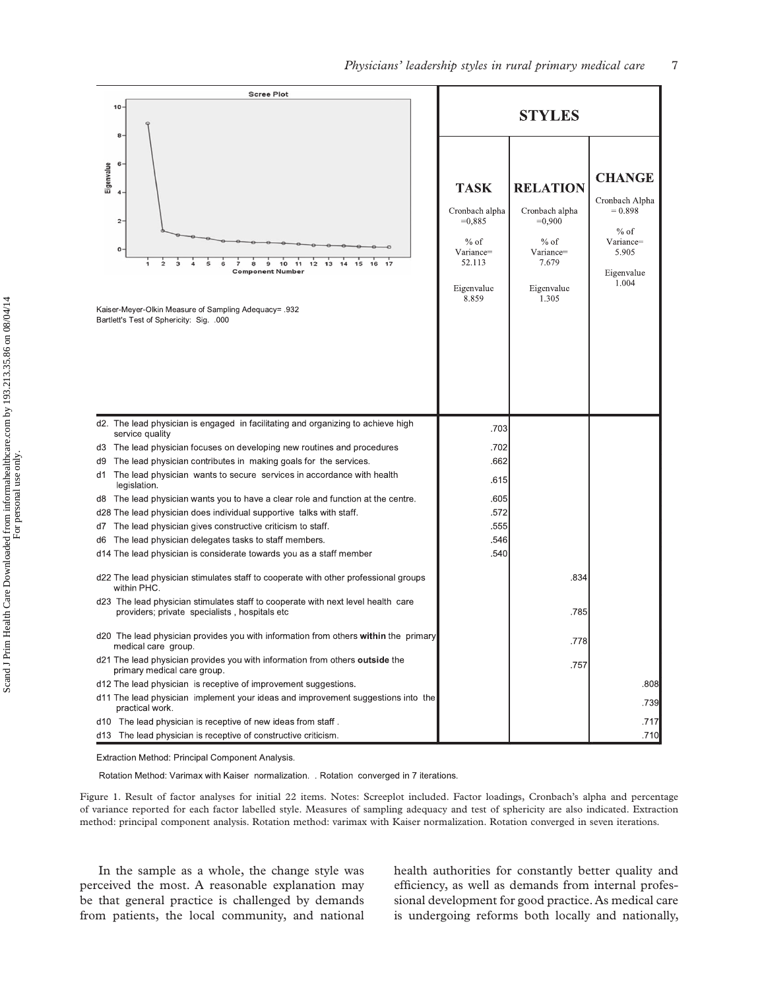

Extraction Method: Principal Component Analysis.

Rotation Method: Varimax with Kaiser normalization. . Rotation converged in 7 iterations.

Figure 1. Result of factor analyses for initial 22 items. Notes: Screeplot included. Factor loadings, Cronbach's alpha and percentage of variance reported for each factor labelled style. Measures of sampling adequacy and test of sphericity are also indicated. Extraction method: principal component analysis. Rotation method: varimax with Kaiser normalization. Rotation converged in seven iterations.

In the sample as a whole, the change style was perceived the most. A reasonable explanation may be that general practice is challenged by demands from patients, the local community, and national health authorities for constantly better quality and efficiency, as well as demands from internal professional development for good practice. As medical care is undergoing reforms both locally and nationally,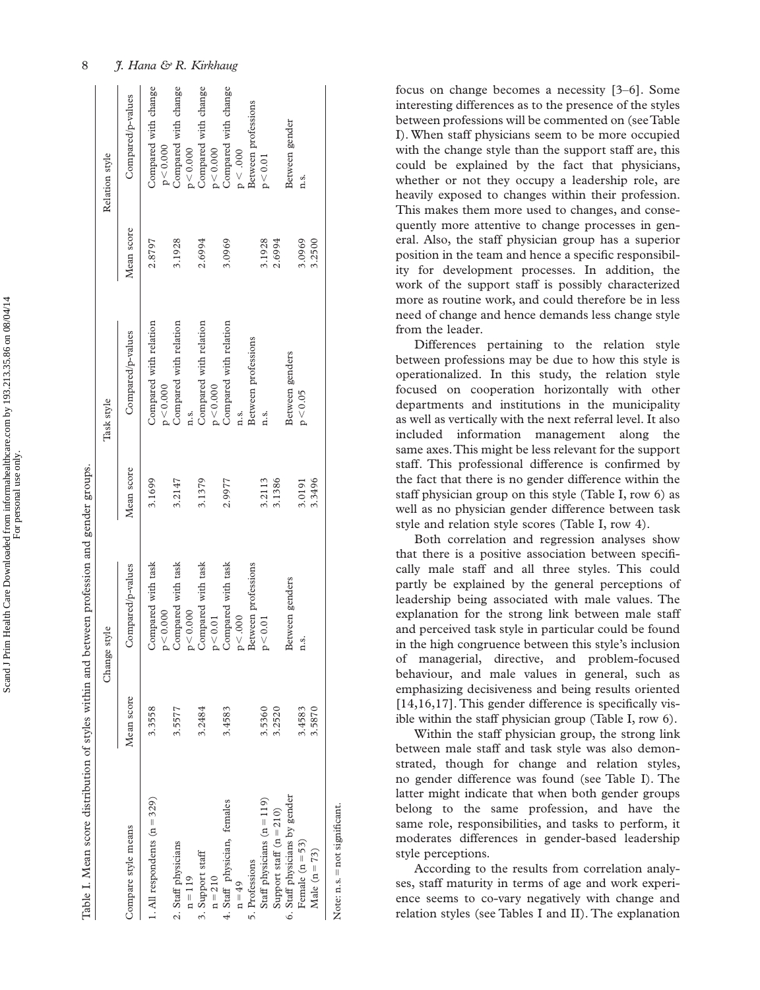|                                  |            | Change style                                 |            | Task style                          |            | Relation style                    |
|----------------------------------|------------|----------------------------------------------|------------|-------------------------------------|------------|-----------------------------------|
| Compare style means              | Mean score | Compared/p-values                            | Mean score | Compared/p-values                   | Mean score | Compared/p-values                 |
| 1. All respondents $(n = 329)$   | 3.3558     | Compared with task<br>p < 0.000              | 3.1699     | Compared with relation<br>p < 0.000 | 2.8797     | Compared with change<br>p < 0.000 |
| 2. Staff physicians<br>$n = 119$ | 3.5577     | Compared with task<br>p < 0.000              | 3.2147     | Compared with relation<br>n.s.      | 3.1928     | Compared with change<br>p < 0.000 |
| 3. Support staff<br>$n = 210$    | 3.2484     | Compared with task<br>$\rm p\,{<}\,0.01$     | 3.1379     | Compared with relation<br>p < 0.000 | 2.6994     | Compared with change<br>p < 0.000 |
| 4. Staff physician, females      | 3.4583     | Compared with task                           | 2.9977     | Compared with relation              | 3.0969     | Compared with change              |
| 5. Professions<br>$n = 49$       |            | Between professions<br>$\mathtt{p}\!<\!.000$ |            | Between professions<br>n.s.         |            | Between professions<br>p < .000   |
| Staff physicians (n = 119)       | 3.5360     | 0.01<br>∑<br>¤                               | 3.2113     | n.s.                                | 3.1928     | p < 0.01                          |
| Support staff $(n = 210)$        | 3.2520     |                                              | 3.1386     |                                     | 2.6994     |                                   |
| 6. Staff physicians by gender    |            | Between genders                              |            | Between genders                     |            | Between gender                    |
| Female $(n = 53)$                | 3.4583     | n.s.                                         | 3.0191     | p < 0.05                            | 3.0969     | n.s.                              |
| Male $(n = 73)$                  | 3.5870     |                                              | 3.3496     |                                     | 3.2500     |                                   |

focus on change becomes a necessity  $[3-6]$ . Some interesting differences as to the presence of the styles between professions will be commented on (see Table I). When staff physicians seem to be more occupied with the change style than the support staff are, this could be explained by the fact that physicians, whether or not they occupy a leadership role, are heavily exposed to changes within their profession. This makes them more used to changes, and consequently more attentive to change processes in general. Also, the staff physician group has a superior position in the team and hence a specific responsibility for development processes. In addition, the work of the support staff is possibly characterized more as routine work, and could therefore be in less need of change and hence demands less change style from the leader.

Differences pertaining to the relation style between professions may be due to how this style is operationalized. In this study, the relation style focused on cooperation horizontally with other departments and institutions in the municipality as well as vertically with the next referral level. It also included information management along the same axes. This might be less relevant for the support staff. This professional difference is confirmed by the fact that there is no gender difference within the staff physician group on this style (Table I, row 6) as well as no physician gender difference between task style and relation style scores (Table I, row 4).

Both correlation and regression analyses show that there is a positive association between specifically male staff and all three styles. This could partly be explained by the general perceptions of leadership being associated with male values. The explanation for the strong link between male staff and perceived task style in particular could be found in the high congruence between this style's inclusion of managerial, directive, and problem-focused behaviour, and male values in general, such as emphasizing decisiveness and being results oriented  $[14,16,17]$ . This gender difference is specifically visible within the staff physician group (Table I, row 6).

Within the staff physician group, the strong link between male staff and task style was also demonstrated, though for change and relation styles, no gender difference was found (see Table I). The latter might indicate that when both gender groups belong to the same profession, and have the same role, responsibilities, and tasks to perform, it moderates differences in gender-based leadership style perceptions.

According to the results from correlation analyses, staff maturity in terms of age and work experience seems to co-vary negatively with change and relation styles (see Tables I and II). The explanation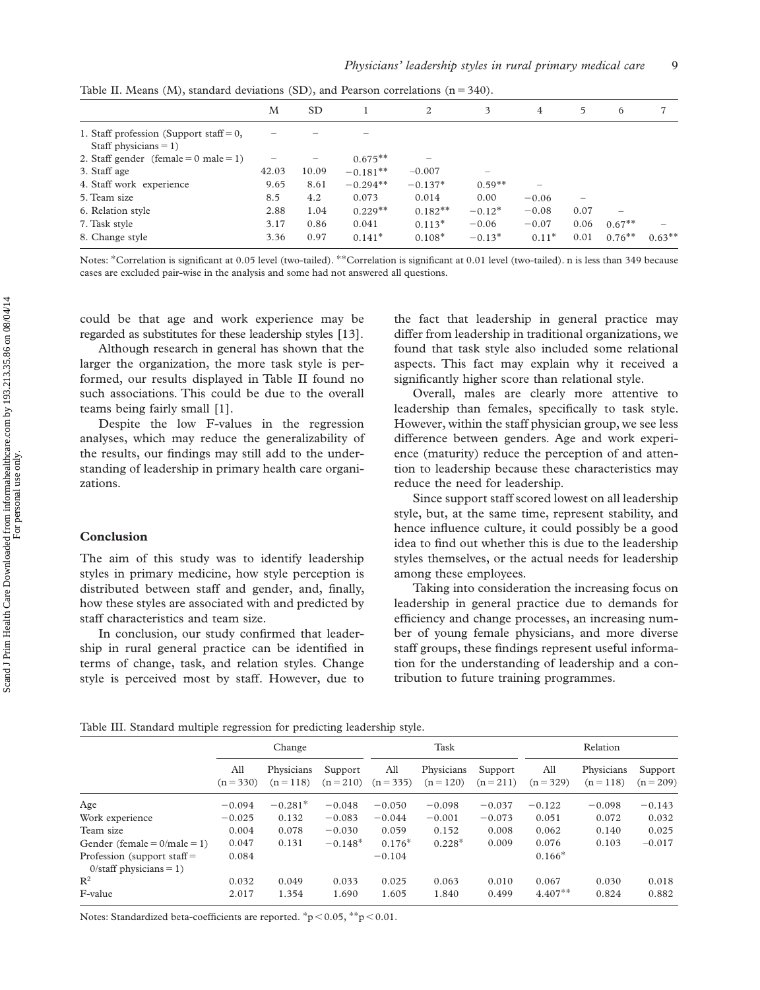| .                                                                      |       |       |            |           |          |                |      |           |          |
|------------------------------------------------------------------------|-------|-------|------------|-----------|----------|----------------|------|-----------|----------|
|                                                                        | M     | SD.   |            | 2         | 3        | $\overline{4}$ | 5    | 6         |          |
| 1. Staff profession (Support staff = $0$ ,<br>Staff physicians $= 1$ ) |       |       |            |           |          |                |      |           |          |
| 2. Staff gender (female = $0$ male = $1$ )                             |       |       | $0.675**$  |           |          |                |      |           |          |
| 3. Staff age                                                           | 42.03 | 10.09 | $-0.181**$ | $-0.007$  |          |                |      |           |          |
| 4. Staff work experience                                               | 9.65  | 8.61  | $-0.294**$ | $-0.137*$ | $0.59**$ |                |      |           |          |
| 5. Team size                                                           | 8.5   | 4.2   | 0.073      | 0.014     | 0.00     | $-0.06$        |      |           |          |
| 6. Relation style                                                      | 2.88  | 1.04  | $0.229**$  | $0.182**$ | $-0.12*$ | $-0.08$        | 0.07 |           |          |
| 7. Task style                                                          | 3.17  | 0.86  | 0.041      | $0.113*$  | $-0.06$  | $-0.07$        | 0.06 | $0.67**$  |          |
| 8. Change style                                                        | 3.36  | 0.97  | $0.141*$   | $0.108*$  | $-0.13*$ | $0.11*$        | 0.01 | $0.76***$ | $0.63**$ |

Table II. Means (M), standard deviations (SD), and Pearson correlations ( $n = 340$ ).

Notes: \*Correlation is significant at 0.05 level (two-tailed). \*\*Correlation is significant at 0.01 level (two-tailed). n is less than 349 because cases are excluded pair-wise in the analysis and some had not answered all questions.

could be that age and work experience may be regarded as substitutes for these leadership styles [13].

Although research in general has shown that the larger the organization, the more task style is performed, our results displayed in Table II found no such associations. This could be due to the overall teams being fairly small [1].

Despite the low F-values in the regression analyses, which may reduce the generalizability of the results, our findings may still add to the understanding of leadership in primary health care organizations.

## **Conclusion**

The aim of this study was to identify leadership styles in primary medicine, how style perception is distributed between staff and gender, and, finally, how these styles are associated with and predicted by staff characteristics and team size.

In conclusion, our study confirmed that leadership in rural general practice can be identified in terms of change, task, and relation styles. Change style is perceived most by staff. However, due to the fact that leadership in general practice may differ from leadership in traditional organizations, we found that task style also included some relational aspects. This fact may explain why it received a significantly higher score than relational style.

Overall, males are clearly more attentive to leadership than females, specifically to task style. However, within the staff physician group, we see less difference between genders. Age and work experience (maturity) reduce the perception of and attention to leadership because these characteristics may reduce the need for leadership.

Since support staff scored lowest on all leadership style, but, at the same time, represent stability, and hence influence culture, it could possibly be a good idea to find out whether this is due to the leadership styles themselves, or the actual needs for leadership among these employees.

Taking into consideration the increasing focus on leadership in general practice due to demands for efficiency and change processes, an increasing number of young female physicians, and more diverse staff groups, these findings represent useful information for the understanding of leadership and a contribution to future training programmes.

Table III. Standard multiple regression for predicting leadership style.

|                                                                |                    | Change                    |                        |                    | Task                      |                        | Relation           |                           |                        |
|----------------------------------------------------------------|--------------------|---------------------------|------------------------|--------------------|---------------------------|------------------------|--------------------|---------------------------|------------------------|
|                                                                | All<br>$(n = 330)$ | Physicians<br>$(n = 118)$ | Support<br>$(n = 210)$ | All<br>$(n = 335)$ | Physicians<br>$(n = 120)$ | Support<br>$(n = 211)$ | All<br>$(n = 329)$ | Physicians<br>$(n = 118)$ | Support<br>$(n = 209)$ |
| Age                                                            | $-0.094$           | $-0.281*$                 | $-0.048$               | $-0.050$           | $-0.098$                  | $-0.037$               | $-0.122$           | $-0.098$                  | $-0.143$               |
| Work experience                                                | $-0.025$           | 0.132                     | $-0.083$               | $-0.044$           | $-0.001$                  | $-0.073$               | 0.051              | 0.072                     | 0.032                  |
| Team size                                                      | 0.004              | 0.078                     | $-0.030$               | 0.059              | 0.152                     | 0.008                  | 0.062              | 0.140                     | 0.025                  |
| Gender (female = $0$ /male = 1)                                | 0.047              | 0.131                     | $-0.148*$              | $0.176*$           | $0.228*$                  | 0.009                  | 0.076              | 0.103                     | $-0.017$               |
| Profession (support staff=<br>$0/\text{staff physicians} = 1)$ | 0.084              |                           |                        | $-0.104$           |                           |                        | $0.166*$           |                           |                        |
| $\mathbb{R}^2$                                                 | 0.032              | 0.049                     | 0.033                  | 0.025              | 0.063                     | 0.010                  | 0.067              | 0.030                     | 0.018                  |
| F-value                                                        | 2.017              | 1.354                     | 1.690                  | 1.605              | 1.840                     | 0.499                  | $4.407**$          | 0.824                     | 0.882                  |

Notes: Standardized beta-coefficients are reported.  ${}^{*}p$  < 0.05,  ${}^{*}p$  < 0.01.